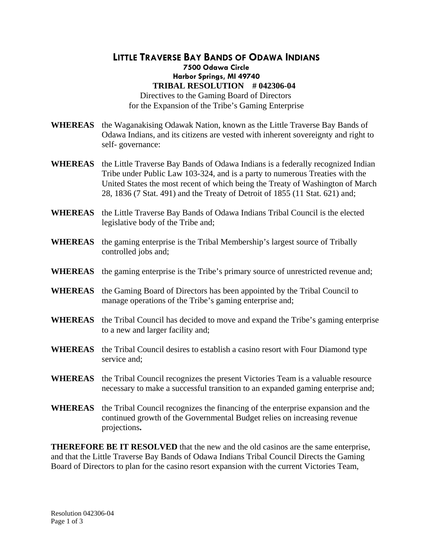## **LITTLE TRAVERSE BAY BANDS OF ODAWA INDIANS 7500 Odawa Circle Harbor Springs, MI 49740 TRIBAL RESOLUTION # 042306-04**  Directives to the Gaming Board of Directors for the Expansion of the Tribe's Gaming Enterprise

- **WHEREAS** the Waganakising Odawak Nation, known as the Little Traverse Bay Bands of Odawa Indians, and its citizens are vested with inherent sovereignty and right to self- governance:
- **WHEREAS** the Little Traverse Bay Bands of Odawa Indians is a federally recognized Indian Tribe under Public Law 103-324, and is a party to numerous Treaties with the United States the most recent of which being the Treaty of Washington of March 28, 1836 (7 Stat. 491) and the Treaty of Detroit of 1855 (11 Stat. 621) and;
- **WHEREAS** the Little Traverse Bay Bands of Odawa Indians Tribal Council is the elected legislative body of the Tribe and;
- **WHEREAS** the gaming enterprise is the Tribal Membership's largest source of Tribally controlled jobs and;
- **WHEREAS** the gaming enterprise is the Tribe's primary source of unrestricted revenue and;
- **WHEREAS** the Gaming Board of Directors has been appointed by the Tribal Council to manage operations of the Tribe's gaming enterprise and;
- **WHEREAS** the Tribal Council has decided to move and expand the Tribe's gaming enterprise to a new and larger facility and;
- **WHEREAS** the Tribal Council desires to establish a casino resort with Four Diamond type service and;
- **WHEREAS** the Tribal Council recognizes the present Victories Team is a valuable resource necessary to make a successful transition to an expanded gaming enterprise and;
- **WHEREAS** the Tribal Council recognizes the financing of the enterprise expansion and the continued growth of the Governmental Budget relies on increasing revenue projections**.**

**THEREFORE BE IT RESOLVED** that the new and the old casinos are the same enterprise, and that the Little Traverse Bay Bands of Odawa Indians Tribal Council Directs the Gaming Board of Directors to plan for the casino resort expansion with the current Victories Team,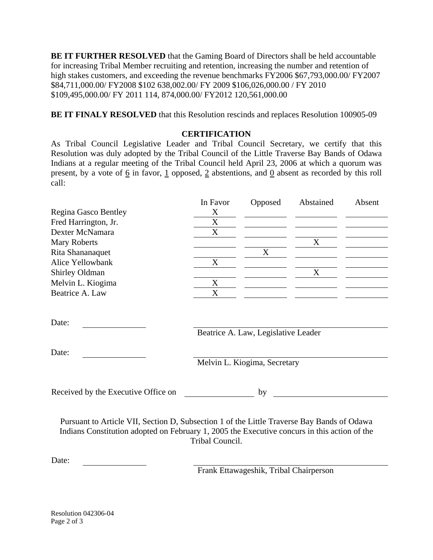**BE IT FURTHER RESOLVED** that the Gaming Board of Directors shall be held accountable for increasing Tribal Member recruiting and retention, increasing the number and retention of high stakes customers, and exceeding the revenue benchmarks FY2006 \$67,793,000.00/ FY2007 \$84,711,000.00/ FY2008 \$102 638,002.00/ FY 2009 \$106,026,000.00 / FY 2010 \$109,495,000.00/ FY 2011 114, 874,000.00/ FY2012 120,561,000.00

**BE IT FINALY RESOLVED** that this Resolution rescinds and replaces Resolution 100905-09

## **CERTIFICATION**

As Tribal Council Legislative Leader and Tribal Council Secretary, we certify that this Resolution was duly adopted by the Tribal Council of the Little Traverse Bay Bands of Odawa Indians at a regular meeting of the Tribal Council held April 23, 2006 at which a quorum was present, by a vote of 6 in favor, 1 opposed, 2 abstentions, and 0 absent as recorded by this roll call:

|                      | In Favor | Opposed | Abstained | Absent |
|----------------------|----------|---------|-----------|--------|
| Regina Gasco Bentley | Х        |         |           |        |
| Fred Harrington, Jr. | X        |         |           |        |
| Dexter McNamara      | X        |         |           |        |
| <b>Mary Roberts</b>  |          |         |           |        |
| Rita Shananaquet     |          |         |           |        |
| Alice Yellowbank     | X        |         |           |        |
| Shirley Oldman       |          |         | X         |        |
| Melvin L. Kiogima    | Х        |         |           |        |
| Beatrice A. Law      | X        |         |           |        |

Date:

Date:

Beatrice A. Law, Legislative Leader

Melvin L. Kiogima, Secretary

Received by the Executive Office on by

Pursuant to Article VII, Section D, Subsection 1 of the Little Traverse Bay Bands of Odawa Indians Constitution adopted on February 1, 2005 the Executive concurs in this action of the Tribal Council.

Date:

Frank Ettawageshik, Tribal Chairperson

Resolution 042306-04 Page 2 of 3